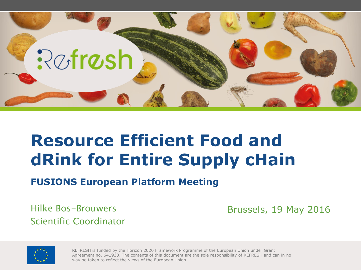

#### **Resource Efficient Food and dRink for Entire Supply cHain**

**FUSIONS European Platform Meeting**

Hilke Bos-Brouwers Scientific Coordinator Brussels, 19 May 2016



REFRESH is funded by the Horizon 2020 Framework Programme of the European Union under Grant Agreement no. 641933. The contents of this document are the sole responsibility of REFRESH and can in no way be taken to reflect the views of the European Union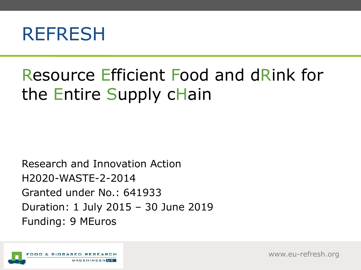

#### Resource Efficient Food and dRink for the Entire Supply cHain

Research and Innovation Action H2020-WASTE-2-2014 Granted under No.: 641933 Duration: 1 July 2015 – 30 June 2019 Funding: 9 MEuros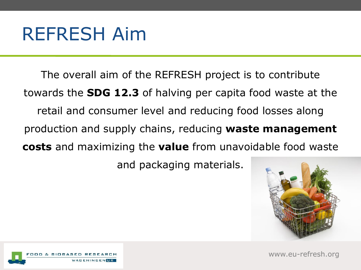#### REFRESH Aim

The overall aim of the REFRESH project is to contribute towards the **SDG 12.3** of halving per capita food waste at the retail and consumer level and reducing food losses along production and supply chains, reducing **waste management costs** and maximizing the **value** from unavoidable food waste and packaging materials.



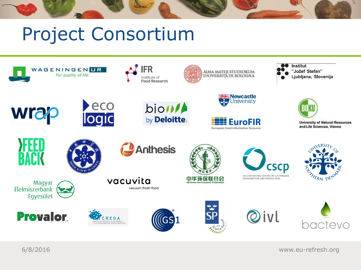# Project Consortium



6/8/2016 www.eu-refresh.org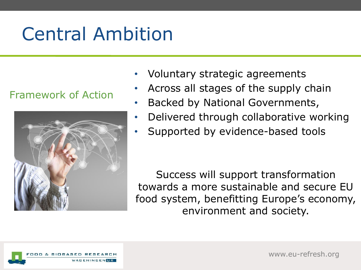# Central Ambition

#### Framework of Action



- Voluntary strategic agreements
- Across all stages of the supply chain
- Backed by National Governments,
- Delivered through collaborative working
- Supported by evidence-based tools

Success will support transformation towards a more sustainable and secure EU food system, benefitting Europe's economy, environment and society.

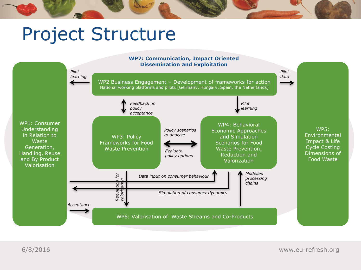# Project Structure



6/8/2016 www.eu-refresh.org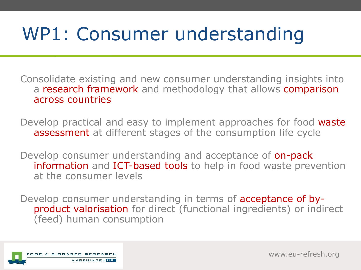# WP1: Consumer understanding

Consolidate existing and new consumer understanding insights into a research framework and methodology that allows comparison across countries

Develop practical and easy to implement approaches for food waste assessment at different stages of the consumption life cycle

Develop consumer understanding and acceptance of **on-pack** information and ICT-based tools to help in food waste prevention at the consumer levels

Develop consumer understanding in terms of acceptance of byproduct valorisation for direct (functional ingredients) or indirect (feed) human consumption

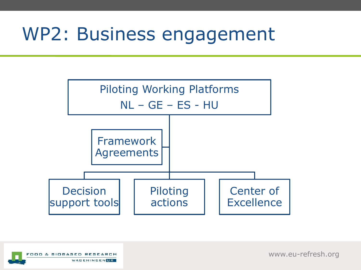### WP2: Business engagement



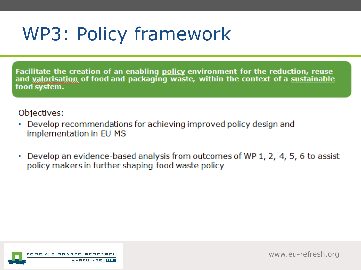# WP3: Policy framework

Facilitate the creation of an enabling policy environment for the reduction, reuse and valorisation of food and packaging waste, within the context of a sustainable food system.

#### Objectives:

- Develop recommendations for achieving improved policy design and implementation in EU MS
- Develop an evidence-based analysis from outcomes of WP 1, 2, 4, 5, 6 to assist policy makers in further shaping food waste policy

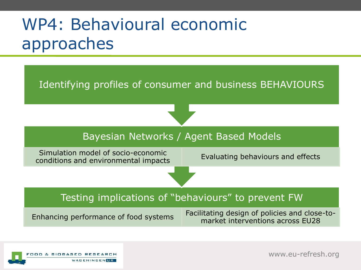#### WP4: Behavioural economic approaches



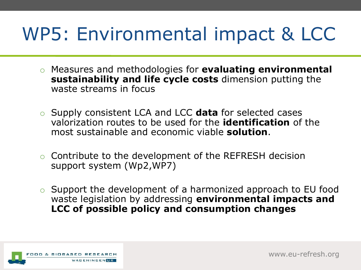# WP5: Environmental impact & LCC

- o Measures and methodologies for **evaluating environmental sustainability and life cycle costs** dimension putting the waste streams in focus
- o Supply consistent LCA and LCC **data** for selected cases valorization routes to be used for the **identification** of the most sustainable and economic viable **solution**.
- o Contribute to the development of the REFRESH decision support system (Wp2,WP7)
- o Support the development of a harmonized approach to EU food waste legislation by addressing **environmental impacts and LCC of possible policy and consumption changes**

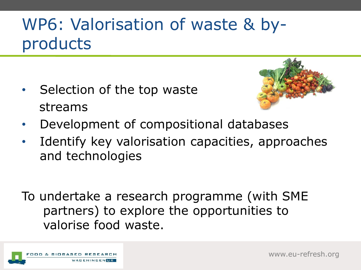#### WP6: Valorisation of waste & byproducts

• Selection of the top waste streams



- Development of compositional databases
- I dentify key valorisation capacities, approaches and technologies
- To undertake a research programme (with SME partners) to explore the opportunities to valorise food waste.

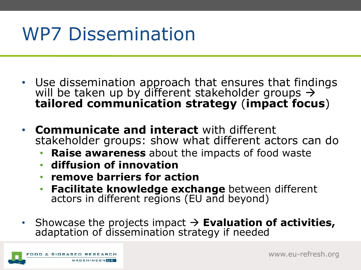# WP7 Dissemination

- Use dissemination approach that ensures that findings will be taken up by different stakeholder groups  $\rightarrow$ **tailored communication strategy** (**impact focus**)
- **Communicate and interact** with different stakeholder groups: show what different actors can do
	- **Raise awareness** about the impacts of food waste
	- **diffusion of innovation**
	- **remove barriers for action**
	- **Facilitate knowledge exchange** between different actors in different regions (EU and beyond)
- Showcase the projects impact  $\rightarrow$  **Evaluation of activities,** adaptation of dissemination strategy if needed